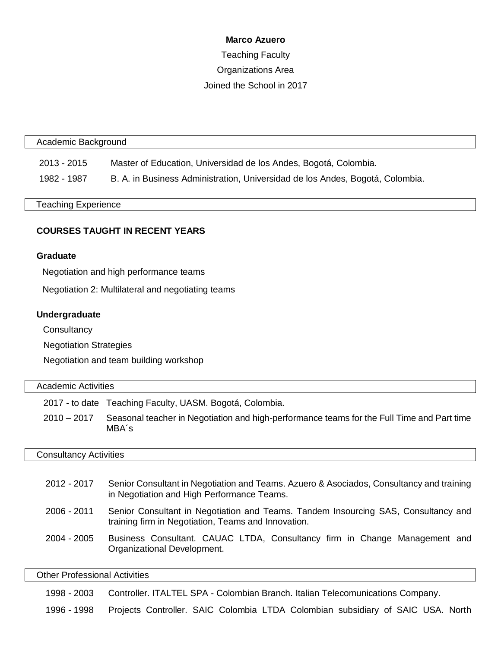#### **Marco Azuero**

# Teaching Faculty Organizations Area Joined the School in 2017

#### Academic Background

2013 - 2015 Master of Education, Universidad de los Andes, Bogotá, Colombia.

1982 - 1987 B. A. in Business Administration, Universidad de los Andes, Bogotá, Colombia.

#### Teaching Experience

## **COURSES TAUGHT IN RECENT YEARS**

## **Graduate**

Negotiation and high performance teams

Negotiation 2: Multilateral and negotiating teams

## **Undergraduate**

**Consultancy** 

Negotiation Strategies

Negotiation and team building workshop

## Academic Activities

2017 - to date Teaching Faculty, UASM. Bogotá, Colombia.

2010 – 2017 Seasonal teacher in Negotiation and high-performance teams for the Full Time and Part time MBA´s

#### Consultancy Activities

| 2012 - 2017 | Senior Consultant in Negotiation and Teams. Azuero & Asociados, Consultancy and training<br>in Negotiation and High Performance Teams.    |
|-------------|-------------------------------------------------------------------------------------------------------------------------------------------|
| 2006 - 2011 | Senior Consultant in Negotiation and Teams. Tandem Insourcing SAS, Consultancy and<br>training firm in Negotiation, Teams and Innovation. |
| 2004 - 2005 | Business Consultant. CAUAC LTDA, Consultancy firm in Change Management and<br>Organizational Development.                                 |

Other Professional Activities

1998 - 2003 Controller. ITALTEL SPA - Colombian Branch. Italian Telecomunications Company.

1996 - 1998 Projects Controller. SAIC Colombia LTDA Colombian subsidiary of SAIC USA. North